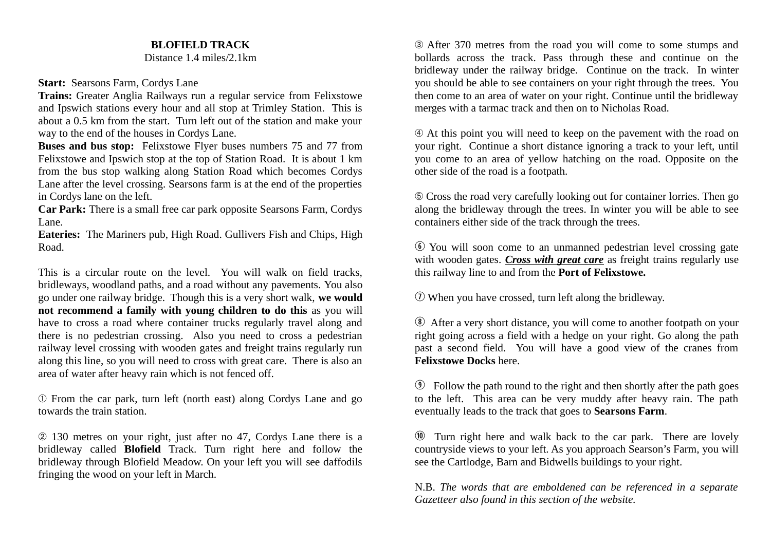## **BLOFIELD TRACK**

Distance 1.4 miles/2.1km

## **Start:** Searsons Farm, Cordys Lane

**Trains:** Greater Anglia Railways run a regular service from Felixstowe and Ipswich stations every hour and all stop at Trimley Station. This is about a 0.5 km from the start. Turn left out of the station and make your way to the end of the houses in Cordys Lane.

**Buses and bus stop:** Felixstowe Flyer buses numbers 75 and 77 from Felixstowe and Ipswich stop at the top of Station Road. It is about 1 km from the bus stop walking along Station Road which becomes Cordys Lane after the level crossing. Searsons farm is at the end of the properties in Cordys lane on the left.

**Car Park:** There is a small free car park opposite Searsons Farm, Cordys Lane.

**Eateries:** The Mariners pub, High Road. Gullivers Fish and Chips, High Road.

This is a circular route on the level. You will walk on field tracks, bridleways, woodland paths, and a road without any pavements. You also go under one railway bridge. Though this is a very short walk, **we would not recommend a family with young children to do this** as you will have to cross a road where container trucks regularly travel along and there is no pedestrian crossing. Also you need to cross a pedestrian railway level crossing with wooden gates and freight trains regularly run along this line, so you will need to cross with great care. There is also an area of water after heavy rain which is not fenced off.

➀ From the car park, turn left (north east) along Cordys Lane and go towards the train station.

➁ 130 metres on your right, just after no 47, Cordys Lane there is a bridleway called **Blofield** Track. Turn right here and follow the bridleway through Blofield Meadow. On your left you will see daffodils fringing the wood on your left in March.

➂ After 370 metres from the road you will come to some stumps and bollards across the track. Pass through these and continue on the bridleway under the railway bridge. Continue on the track. In winter you should be able to see containers on your right through the trees. You then come to an area of water on your right. Continue until the bridleway merges with a tarmac track and then on to Nicholas Road.

➃ At this point you will need to keep on the pavement with the road on your right. Continue a short distance ignoring a track to your left, until you come to an area of yellow hatching on the road. Opposite on the other side of the road is a footpath.

➄ Cross the road very carefully looking out for container lorries. Then go along the bridleway through the trees. In winter you will be able to see containers either side of the track through the trees.

 $\odot$  You will soon come to an unmanned pedestrian level crossing gate with wooden gates. *Cross with great care* as freight trains regularly use this railway line to and from the **Port of Felixstowe.**

 $\Omega$  When you have crossed, turn left along the bridleway.

i After a very short distance, you will come to another footpath on your right going across a field with a hedge on your right. Go along the path past a second field. You will have a good view of the cranes from **Felixstowe Docks** here.

o Follow the path round to the right and then shortly after the path goes to the left. This area can be very muddy after heavy rain. The path eventually leads to the track that goes to **Searsons Farm**.

 $\omega$  Turn right here and walk back to the car park. There are lovely countryside views to your left. As you approach Searson's Farm, you will see the Cartlodge, Barn and Bidwells buildings to your right.

N.B. *The words that are emboldened can be referenced in a separate Gazetteer also found in this section of the website.*